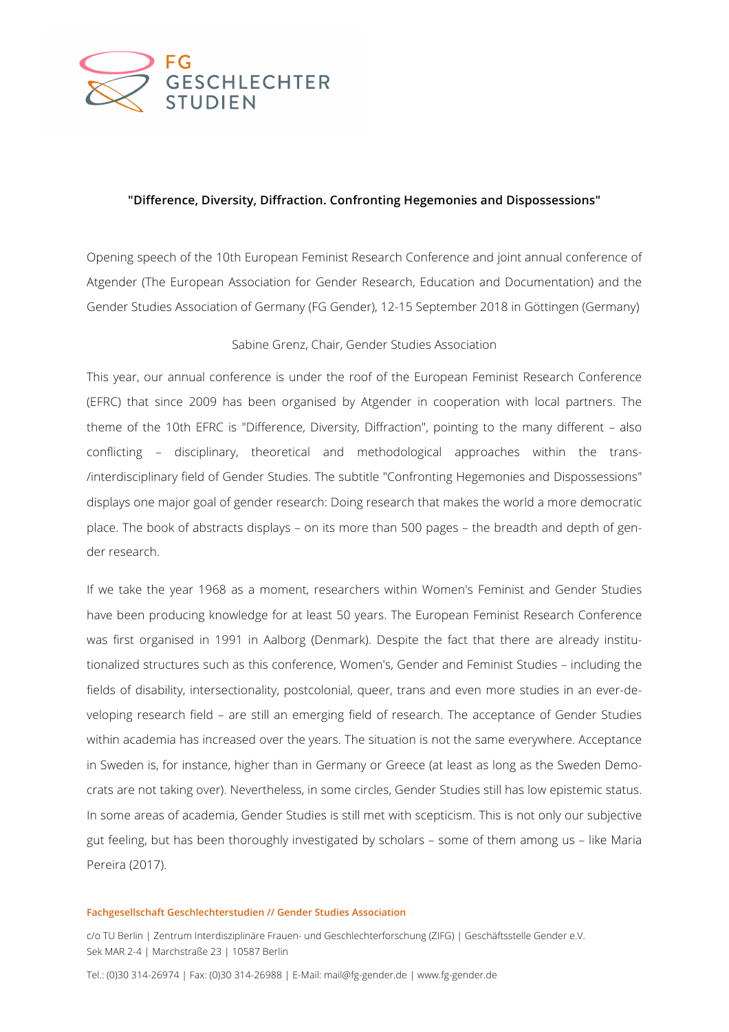

## **"Difference, Diversity, Diffraction. Confronting Hegemonies and Dispossessions"**

Opening speech of the 10th European Feminist Research Conference and joint annual conference of Atgender (The European Association for Gender Research, Education and Documentation) and the Gender Studies Association of Germany (FG Gender), 12-15 September 2018 in Göttingen (Germany)

## Sabine Grenz, Chair, Gender Studies Association

This year, our annual conference is under the roof of the European Feminist Research Conference (EFRC) that since 2009 has been organised by Atgender in cooperation with local partners. The theme of the 10th EFRC is "Difference, Diversity, Diffraction", pointing to the many different – also conflicting – disciplinary, theoretical and methodological approaches within the trans- /interdisciplinary field of Gender Studies. The subtitle "Confronting Hegemonies and Dispossessions" displays one major goal of gender research: Doing research that makes the world a more democratic place. The book of abstracts displays – on its more than 500 pages – the breadth and depth of gender research.

If we take the year 1968 as a moment, researchers within Women's Feminist and Gender Studies have been producing knowledge for at least 50 years. The European Feminist Research Conference was first organised in 1991 in Aalborg (Denmark). Despite the fact that there are already institutionalized structures such as this conference, Women's, Gender and Feminist Studies – including the fields of disability, intersectionality, postcolonial, queer, trans and even more studies in an ever-developing research field – are still an emerging field of research. The acceptance of Gender Studies within academia has increased over the years. The situation is not the same everywhere. Acceptance in Sweden is, for instance, higher than in Germany or Greece (at least as long as the Sweden Democrats are not taking over). Nevertheless, in some circles, Gender Studies still has low epistemic status. In some areas of academia, Gender Studies is still met with scepticism. This is not only our subjective gut feeling, but has been thoroughly investigated by scholars – some of them among us – like Maria Pereira (2017).

## **Fachgesellschaft Geschlechterstudien // Gender Studies Association**

c/o TU Berlin | Zentrum Interdisziplinäre Frauen- und Geschlechterforschung (ZIFG) | Geschäftsstelle Gender e.V. Sek MAR 2-4 | Marchstraße 23 | 10587 Berlin

Tel.: (0)30 314-26974 | Fax: (0)30 314-26988 | E-Mail: mail@fg-gender.de | www.fg-gender.de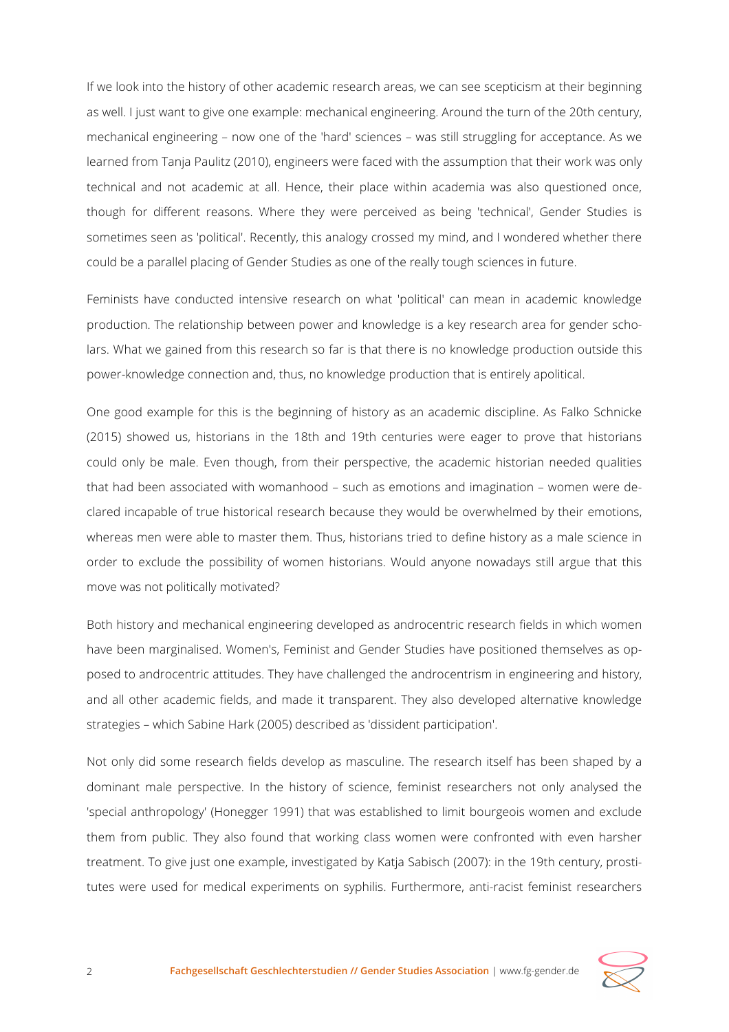If we look into the history of other academic research areas, we can see scepticism at their beginning as well. I just want to give one example: mechanical engineering. Around the turn of the 20th century, mechanical engineering – now one of the 'hard' sciences – was still struggling for acceptance. As we learned from Tanja Paulitz (2010), engineers were faced with the assumption that their work was only technical and not academic at all. Hence, their place within academia was also questioned once, though for different reasons. Where they were perceived as being 'technical', Gender Studies is sometimes seen as 'political'. Recently, this analogy crossed my mind, and I wondered whether there could be a parallel placing of Gender Studies as one of the really tough sciences in future.

Feminists have conducted intensive research on what 'political' can mean in academic knowledge production. The relationship between power and knowledge is a key research area for gender scholars. What we gained from this research so far is that there is no knowledge production outside this power-knowledge connection and, thus, no knowledge production that is entirely apolitical.

One good example for this is the beginning of history as an academic discipline. As Falko Schnicke (2015) showed us, historians in the 18th and 19th centuries were eager to prove that historians could only be male. Even though, from their perspective, the academic historian needed qualities that had been associated with womanhood – such as emotions and imagination – women were declared incapable of true historical research because they would be overwhelmed by their emotions, whereas men were able to master them. Thus, historians tried to define history as a male science in order to exclude the possibility of women historians. Would anyone nowadays still argue that this move was not politically motivated?

Both history and mechanical engineering developed as androcentric research fields in which women have been marginalised. Women's, Feminist and Gender Studies have positioned themselves as opposed to androcentric attitudes. They have challenged the androcentrism in engineering and history, and all other academic fields, and made it transparent. They also developed alternative knowledge strategies – which Sabine Hark (2005) described as 'dissident participation'.

Not only did some research fields develop as masculine. The research itself has been shaped by a dominant male perspective. In the history of science, feminist researchers not only analysed the 'special anthropology' (Honegger 1991) that was established to limit bourgeois women and exclude them from public. They also found that working class women were confronted with even harsher treatment. To give just one example, investigated by Katja Sabisch (2007): in the 19th century, prostitutes were used for medical experiments on syphilis. Furthermore, anti-racist feminist researchers

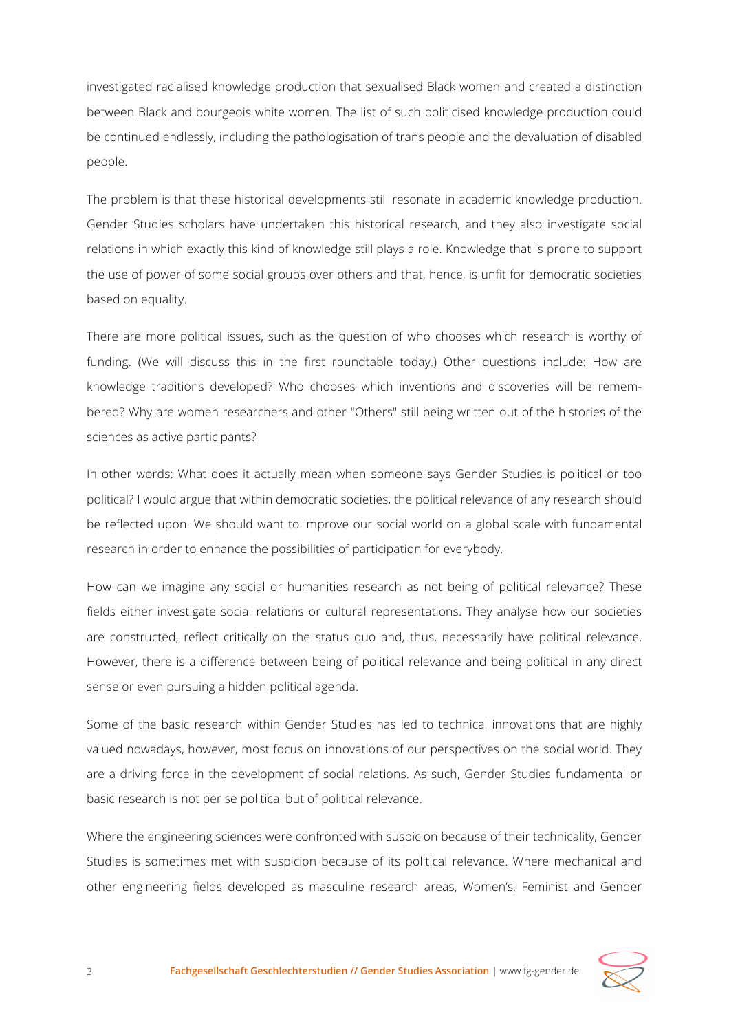investigated racialised knowledge production that sexualised Black women and created a distinction between Black and bourgeois white women. The list of such politicised knowledge production could be continued endlessly, including the pathologisation of trans people and the devaluation of disabled people.

The problem is that these historical developments still resonate in academic knowledge production. Gender Studies scholars have undertaken this historical research, and they also investigate social relations in which exactly this kind of knowledge still plays a role. Knowledge that is prone to support the use of power of some social groups over others and that, hence, is unfit for democratic societies based on equality.

There are more political issues, such as the question of who chooses which research is worthy of funding. (We will discuss this in the first roundtable today.) Other questions include: How are knowledge traditions developed? Who chooses which inventions and discoveries will be remembered? Why are women researchers and other "Others" still being written out of the histories of the sciences as active participants?

In other words: What does it actually mean when someone says Gender Studies is political or too political? I would argue that within democratic societies, the political relevance of any research should be reflected upon. We should want to improve our social world on a global scale with fundamental research in order to enhance the possibilities of participation for everybody.

How can we imagine any social or humanities research as not being of political relevance? These fields either investigate social relations or cultural representations. They analyse how our societies are constructed, reflect critically on the status quo and, thus, necessarily have political relevance. However, there is a difference between being of political relevance and being political in any direct sense or even pursuing a hidden political agenda.

Some of the basic research within Gender Studies has led to technical innovations that are highly valued nowadays, however, most focus on innovations of our perspectives on the social world. They are a driving force in the development of social relations. As such, Gender Studies fundamental or basic research is not per se political but of political relevance.

Where the engineering sciences were confronted with suspicion because of their technicality, Gender Studies is sometimes met with suspicion because of its political relevance. Where mechanical and other engineering fields developed as masculine research areas, Women's, Feminist and Gender

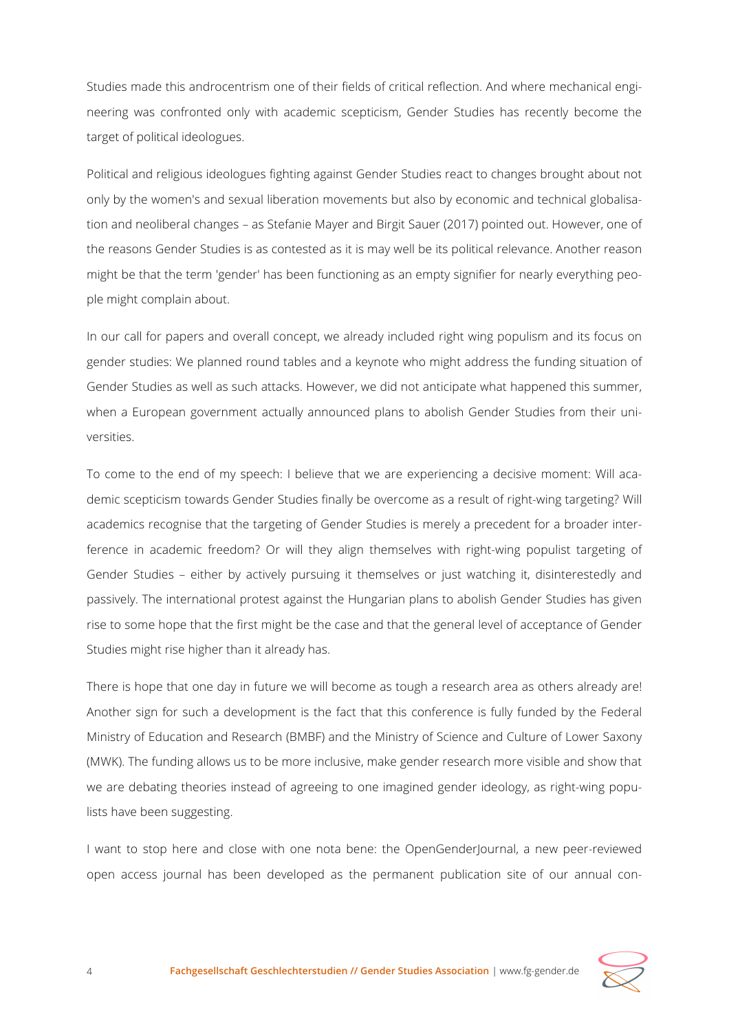Studies made this androcentrism one of their fields of critical reflection. And where mechanical engineering was confronted only with academic scepticism, Gender Studies has recently become the target of political ideologues.

Political and religious ideologues fighting against Gender Studies react to changes brought about not only by the women's and sexual liberation movements but also by economic and technical globalisation and neoliberal changes – as Stefanie Mayer and Birgit Sauer (2017) pointed out. However, one of the reasons Gender Studies is as contested as it is may well be its political relevance. Another reason might be that the term 'gender' has been functioning as an empty signifier for nearly everything people might complain about.

In our call for papers and overall concept, we already included right wing populism and its focus on gender studies: We planned round tables and a keynote who might address the funding situation of Gender Studies as well as such attacks. However, we did not anticipate what happened this summer, when a European government actually announced plans to abolish Gender Studies from their universities.

To come to the end of my speech: I believe that we are experiencing a decisive moment: Will academic scepticism towards Gender Studies finally be overcome as a result of right-wing targeting? Will academics recognise that the targeting of Gender Studies is merely a precedent for a broader interference in academic freedom? Or will they align themselves with right-wing populist targeting of Gender Studies – either by actively pursuing it themselves or just watching it, disinterestedly and passively. The international protest against the Hungarian plans to abolish Gender Studies has given rise to some hope that the first might be the case and that the general level of acceptance of Gender Studies might rise higher than it already has.

There is hope that one day in future we will become as tough a research area as others already are! Another sign for such a development is the fact that this conference is fully funded by the Federal Ministry of Education and Research (BMBF) and the Ministry of Science and Culture of Lower Saxony (MWK). The funding allows us to be more inclusive, make gender research more visible and show that we are debating theories instead of agreeing to one imagined gender ideology, as right-wing populists have been suggesting.

I want to stop here and close with one nota bene: the OpenGenderJournal, a new peer-reviewed open access journal has been developed as the permanent publication site of our annual con-